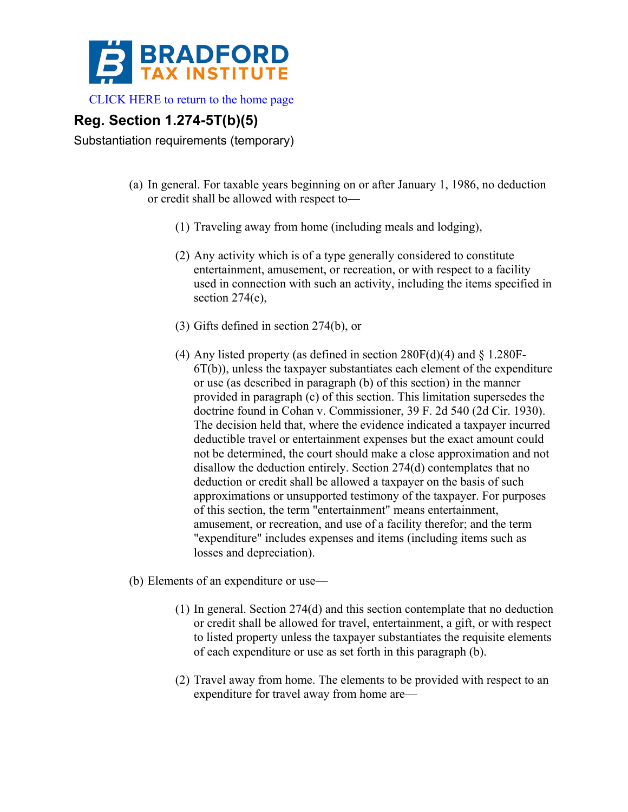

[CLICK HERE to return to the home page](http://www.bradfordtaxinstitute.com/) 

## **Reg. Section 1.274-5T(b)(5)**

Substantiation requirements (temporary)

- (a) In general. For taxable years beginning on or after January 1, 1986, no deduction or credit shall be allowed with respect to—
	- (1) Traveling away from home (including meals and lodging),
	- (2) Any activity which is of a type generally considered to constitute entertainment, amusement, or recreation, or with respect to a facility used in connection with such an activity, including the items specified in section 274(e),
	- (3) Gifts defined in section 274(b), or
	- (4) Any listed property (as defined in section  $280F(d)(4)$  and § 1.280F-6T(b)), unless the taxpayer substantiates each element of the expenditure or use (as described in paragraph (b) of this section) in the manner provided in paragraph (c) of this section. This limitation supersedes the doctrine found in Cohan v. Commissioner, 39 F. 2d 540 (2d Cir. 1930). The decision held that, where the evidence indicated a taxpayer incurred deductible travel or entertainment expenses but the exact amount could not be determined, the court should make a close approximation and not disallow the deduction entirely. Section 274(d) contemplates that no deduction or credit shall be allowed a taxpayer on the basis of such approximations or unsupported testimony of the taxpayer. For purposes of this section, the term "entertainment" means entertainment, amusement, or recreation, and use of a facility therefor; and the term "expenditure" includes expenses and items (including items such as losses and depreciation).

(b) Elements of an expenditure or use—

- (1) In general. Section 274(d) and this section contemplate that no deduction or credit shall be allowed for travel, entertainment, a gift, or with respect to listed property unless the taxpayer substantiates the requisite elements of each expenditure or use as set forth in this paragraph (b).
- (2) Travel away from home. The elements to be provided with respect to an expenditure for travel away from home are—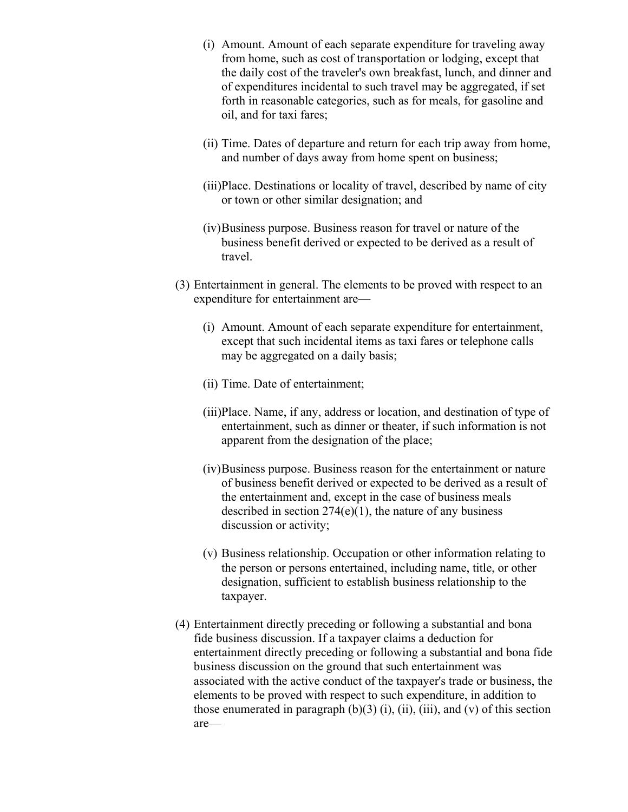- (i) Amount. Amount of each separate expenditure for traveling away from home, such as cost of transportation or lodging, except that the daily cost of the traveler's own breakfast, lunch, and dinner and of expenditures incidental to such travel may be aggregated, if set forth in reasonable categories, such as for meals, for gasoline and oil, and for taxi fares;
- (ii) Time. Dates of departure and return for each trip away from home, and number of days away from home spent on business;
- (iii)Place. Destinations or locality of travel, described by name of city or town or other similar designation; and
- (iv)Business purpose. Business reason for travel or nature of the business benefit derived or expected to be derived as a result of travel.
- (3) Entertainment in general. The elements to be proved with respect to an expenditure for entertainment are—
	- (i) Amount. Amount of each separate expenditure for entertainment, except that such incidental items as taxi fares or telephone calls may be aggregated on a daily basis;
	- (ii) Time. Date of entertainment;
	- (iii)Place. Name, if any, address or location, and destination of type of entertainment, such as dinner or theater, if such information is not apparent from the designation of the place;
	- (iv)Business purpose. Business reason for the entertainment or nature of business benefit derived or expected to be derived as a result of the entertainment and, except in the case of business meals described in section  $274(e)(1)$ , the nature of any business discussion or activity;
	- (v) Business relationship. Occupation or other information relating to the person or persons entertained, including name, title, or other designation, sufficient to establish business relationship to the taxpayer.
- (4) Entertainment directly preceding or following a substantial and bona fide business discussion. If a taxpayer claims a deduction for entertainment directly preceding or following a substantial and bona fide business discussion on the ground that such entertainment was associated with the active conduct of the taxpayer's trade or business, the elements to be proved with respect to such expenditure, in addition to those enumerated in paragraph  $(b)(3)$  (i), (ii), (iii), and (v) of this section are—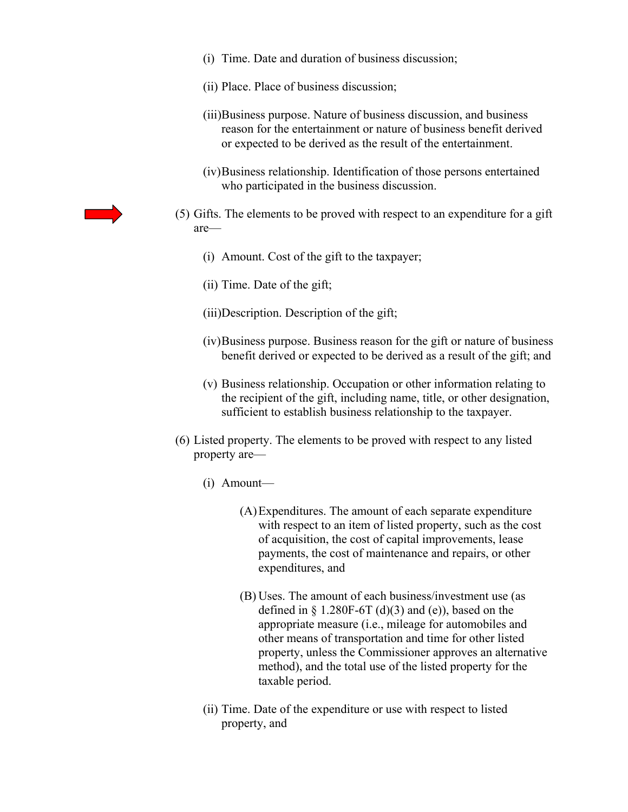- (i) Time. Date and duration of business discussion;
- (ii) Place. Place of business discussion;
- (iii)Business purpose. Nature of business discussion, and business reason for the entertainment or nature of business benefit derived or expected to be derived as the result of the entertainment.
- (iv)Business relationship. Identification of those persons entertained who participated in the business discussion.
- (5) Gifts. The elements to be proved with respect to an expenditure for a gift are—
	- (i) Amount. Cost of the gift to the taxpayer;
	- (ii) Time. Date of the gift;
	- (iii)Description. Description of the gift;
	- (iv)Business purpose. Business reason for the gift or nature of business benefit derived or expected to be derived as a result of the gift; and
	- (v) Business relationship. Occupation or other information relating to the recipient of the gift, including name, title, or other designation, sufficient to establish business relationship to the taxpayer.
- (6) Listed property. The elements to be proved with respect to any listed property are—
	- (i) Amount—
		- (A)Expenditures. The amount of each separate expenditure with respect to an item of listed property, such as the cost of acquisition, the cost of capital improvements, lease payments, the cost of maintenance and repairs, or other expenditures, and
		- (B) Uses. The amount of each business/investment use (as defined in  $\S 1.280F-6T(d)(3)$  and (e)), based on the appropriate measure (i.e., mileage for automobiles and other means of transportation and time for other listed property, unless the Commissioner approves an alternative method), and the total use of the listed property for the taxable period.
	- (ii) Time. Date of the expenditure or use with respect to listed property, and